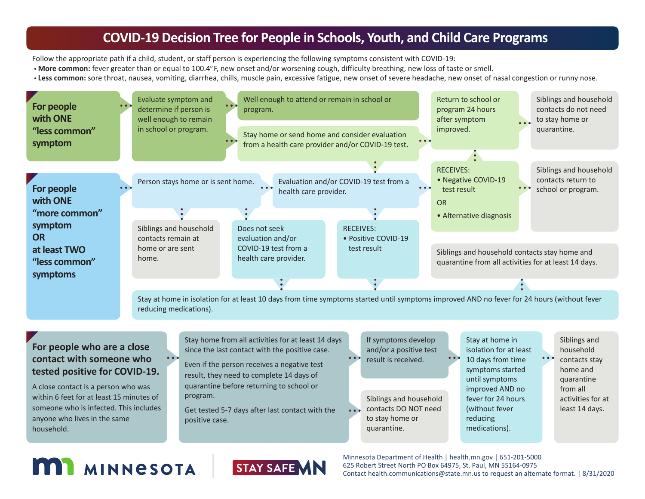#### **COVID-19 Decision Tree for People in Schools, Youth, and Child Care Programs**

Follow the appropriate path if a child, student, or staff person is experiencing the following symptoms consistent with COVID-19:

- **More common:** fever greater than or equal to 100.4o F, new onset and/or worsening cough, difficulty breathing, new loss of taste or smell.
- **Less common:** sore throat, nausea, vomiting, diarrhea, chills, muscle pain, excessive fatigue, new onset of severe headache, new onset of nasal congestion or runny nose.



A close contact is a person who was within 6 feet for at least 15 minutes of someone who is infected. This includes anyone who lives in the same household.

quarantine before returning to school or program.

Get tested 5-7 days after last contact with the positive case.

Siblings and household contacts DO NOT need to stay home or quarantine.

until symptoms improved AND no fever for 24 hours (without fever reducing medications).

quarantine from all activities for at least 14 days.

## **MI MINNESOTA**



Minnesota Department of Health | health.mn.gov | 651-201-5000 625 Robert Street North PO Box 64975, St. Paul, MN 55164-0975 Contact health.communications@state.mn.us to request an alternate format. | 8/31/2020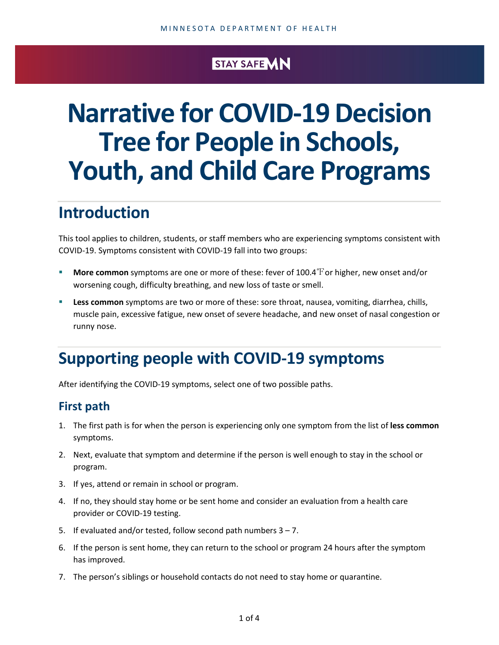#### STAY SAFE **MN**

# **Narrative for COVID-19 Decision Tree for People in Schools, Youth, and Child Care Programs**

## **Introduction**

This tool applies to children, students, or staff members who are experiencing symptoms consistent with COVID-19. Symptoms consistent with COVID-19 fall into two groups:

- **More common** symptoms are one or more of these: fever of 100.4 For higher, new onset and/or worsening cough, difficulty breathing, and new loss of taste or smell.
- **Less common** symptoms are two or more of these: sore throat, nausea, vomiting, diarrhea, chills, muscle pain, excessive fatigue, new onset of severe headache, and new onset of nasal congestion or runny nose.

### **Supporting people with COVID-19 symptoms**

After identifying the COVID-19 symptoms, select one of two possible paths.

#### **First path**

- 1. The first path is for when the person is experiencing only one symptom from the list of **less common** symptoms.
- 2. Next, evaluate that symptom and determine if the person is well enough to stay in the school or program.
- 3. If yes, attend or remain in school or program.
- 4. If no, they should stay home or be sent home and consider an evaluation from a health care provider or COVID-19 testing.
- 5. If evaluated and/or tested, follow second path numbers 3 7.
- 6. If the person is sent home, they can return to the school or program 24 hours after the symptom has improved.
- 7. The person's siblings or household contacts do not need to stay home or quarantine.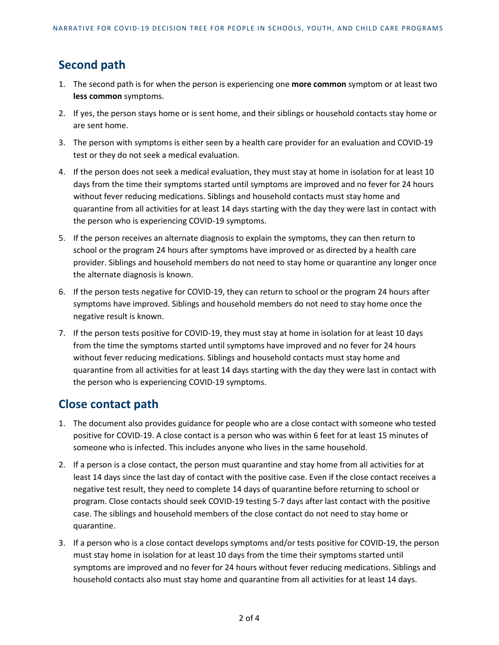#### **Second path**

- 1. The second path is for when the person is experiencing one **more common** symptom or at least two **less common** symptoms.
- 2. If yes, the person stays home or is sent home, and their siblings or household contacts stay home or are sent home.
- 3. The person with symptoms is either seen by a health care provider for an evaluation and COVID-19 test or they do not seek a medical evaluation.
- 4. If the person does not seek a medical evaluation, they must stay at home in isolation for at least 10 days from the time their symptoms started until symptoms are improved and no fever for 24 hours without fever reducing medications. Siblings and household contacts must stay home and quarantine from all activities for at least 14 days starting with the day they were last in contact with the person who is experiencing COVID-19 symptoms.
- 5. If the person receives an alternate diagnosis to explain the symptoms, they can then return to school or the program 24 hours after symptoms have improved or as directed by a health care provider. Siblings and household members do not need to stay home or quarantine any longer once the alternate diagnosis is known.
- 6. If the person tests negative for COVID-19, they can return to school or the program 24 hours after symptoms have improved. Siblings and household members do not need to stay home once the negative result is known.
- 7. If the person tests positive for COVID-19, they must stay at home in isolation for at least 10 days from the time the symptoms started until symptoms have improved and no fever for 24 hours without fever reducing medications. Siblings and household contacts must stay home and quarantine from all activities for at least 14 days starting with the day they were last in contact with the person who is experiencing COVID-19 symptoms.

#### **Close contact path**

- 1. The document also provides guidance for people who are a close contact with someone who tested positive for COVID-19. A close contact is a person who was within 6 feet for at least 15 minutes of someone who is infected. This includes anyone who lives in the same household.
- 2. If a person is a close contact, the person must quarantine and stay home from all activities for at least 14 days since the last day of contact with the positive case. Even if the close contact receives a negative test result, they need to complete 14 days of quarantine before returning to school or program. Close contacts should seek COVID-19 testing 5-7 days after last contact with the positive case. The siblings and household members of the close contact do not need to stay home or quarantine.
- 3. If a person who is a close contact develops symptoms and/or tests positive for COVID-19, the person must stay home in isolation for at least 10 days from the time their symptoms started until symptoms are improved and no fever for 24 hours without fever reducing medications. Siblings and household contacts also must stay home and quarantine from all activities for at least 14 days.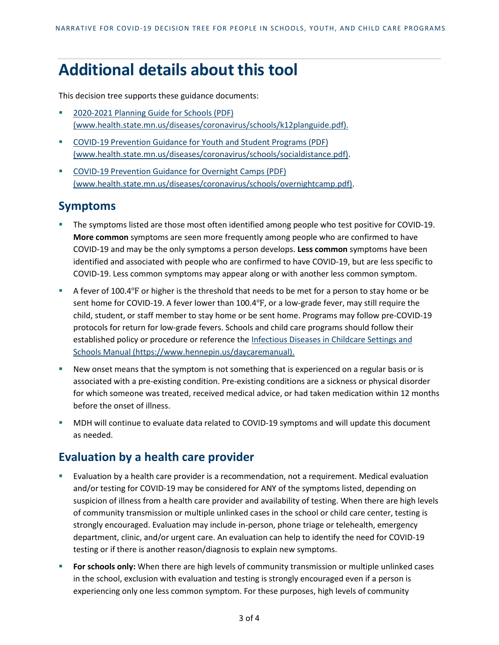## **Additional details about this tool**

This decision tree supports these guidance documents:

- [2020-2021 Planning Guide for Schools \(PDF\)](https://www.health.state.mn.us/diseases/coronavirus/schools/k12planguide.pdf) [\(www.health.state.mn.us/diseases/coronavirus/schools/k12planguide.pdf\).](https://www.health.state.mn.us/diseases/coronavirus/schools/k12planguide.pdf)
- [COVID-19 Prevention Guidance for Youth and Student Programs \(PDF\)](https://www.health.state.mn.us/diseases/coronavirus/schools/socialdistance.pdf) [\(www.health.state.mn.us/diseases/coronavirus/schools/socialdistance.pdf\).](https://www.health.state.mn.us/diseases/coronavirus/schools/socialdistance.pdf)
- [COVID-19 Prevention Guidance for Overnight Camps \(PDF\)](https://www.health.state.mn.us/diseases/coronavirus/schools/overnightcamp.pdf) [\(www.health.state.mn.us/diseases/coronavirus/schools/overnightcamp.pdf\).](https://www.health.state.mn.us/diseases/coronavirus/schools/overnightcamp.pdf)

#### **Symptoms**

- The symptoms listed are those most often identified among people who test positive for COVID-19. **More common** symptoms are seen more frequently among people who are confirmed to have COVID-19 and may be the only symptoms a person develops. **Less common** symptoms have been identified and associated with people who are confirmed to have COVID-19, but are less specific to COVID-19. Less common symptoms may appear along or with another less common symptom.
- A fever of 100.4°F or higher is the threshold that needs to be met for a person to stay home or be sent home for COVID-19. A fever lower than 100.4℉, or a low-grade fever, may still require the child, student, or staff member to stay home or be sent home. Programs may follow pre-COVID-19 protocols for return for low-grade fevers. Schools and child care programs should follow their established policy or procedure or reference th[e Infectious Diseases in Childcare Settings and](https://www.hennepin.us/daycaremanual) [Schools Manual \(https://www.hennepin.us/daycaremanual\)](https://www.hennepin.us/daycaremanual).
- New onset means that the symptom is not something that is experienced on a regular basis or is associated with a pre-existing condition. Pre-existing conditions are a sickness or physical disorder for which someone was treated, received medical advice, or had taken medication within 12 months before the onset of illness.
- MDH will continue to evaluate data related to COVID-19 symptoms and will update this document as needed.

#### **Evaluation by a health care provider**

- Evaluation by a health care provider is a recommendation, not a requirement. Medical evaluation and/or testing for COVID-19 may be considered for ANY of the symptoms listed, depending on suspicion of illness from a health care provider and availability of testing. When there are high levels of community transmission or multiple unlinked cases in the school or child care center, testing is strongly encouraged. Evaluation may include in-person, phone triage or telehealth, emergency department, clinic, and/or urgent care. An evaluation can help to identify the need for COVID-19 testing or if there is another reason/diagnosis to explain new symptoms.
- **For schools only:** When there are high levels of community transmission or multiple unlinked cases in the school, exclusion with evaluation and testing is strongly encouraged even if a person is experiencing only one less common symptom. For these purposes, high levels of community